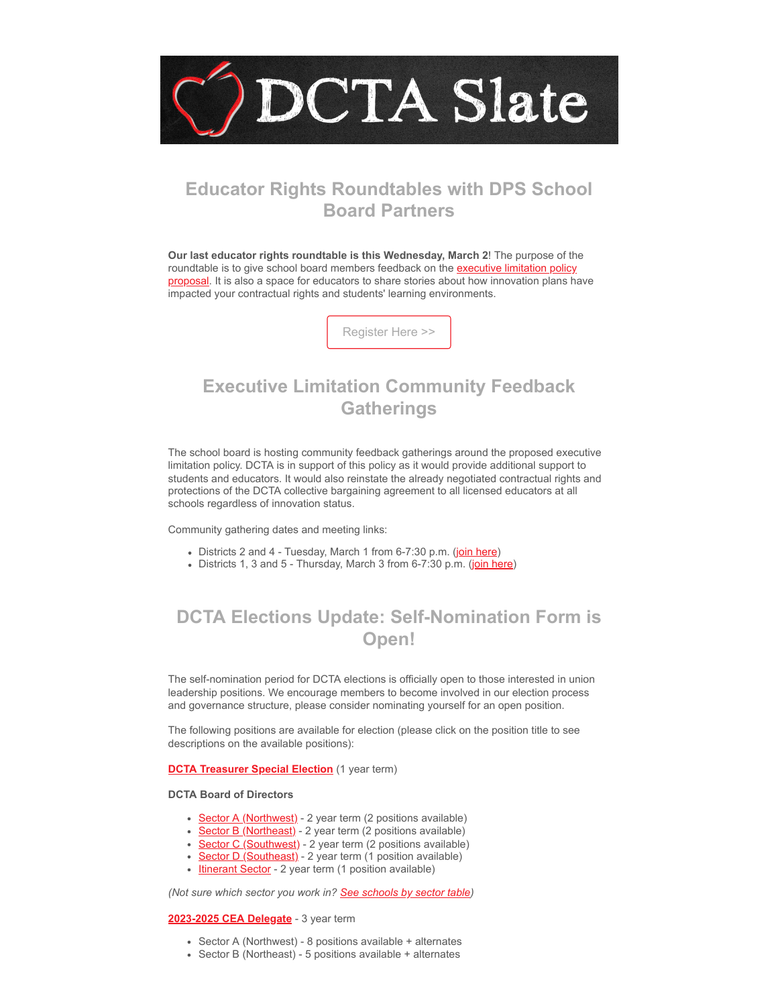

## **Educator Rights Roundtables with DPS School Board Partners**

**Our last educator rights roundtable is this Wednesday, March 2**! The purpose of the roundtable is to give school board members feedback on the executive limitation policy [proposal. It is also a space for educators to share stories about how innovation plans ha](https://drive.google.com/file/d/1XeYraLe8XJjZRAwKWzPJ8bOCY5_Ae4bf/view?usp=sharing&emci=dbc82b54-b099-ec11-a507-281878b80eda&emdi=ea000000-0000-0000-0000-000000000001&ceid={{ContactsEmailID}})ve impacted your contractual rights and students' learning environments.

[Register Here >>](https://forms.gle/kzxy3xtU3GHhA9148?emci=dbc82b54-b099-ec11-a507-281878b80eda&emdi=ea000000-0000-0000-0000-000000000001&ceid={{ContactsEmailID}})

## **Executive Limitation Community Feedback Gatherings**

The school board is hosting community feedback gatherings around the proposed executive limitation policy. DCTA is in support of this policy as it would provide additional support to students and educators. It would also reinstate the already negotiated contractual rights and protections of the DCTA collective bargaining agreement to all licensed educators at all schools regardless of innovation status.

Community gathering dates and meeting links:

- Districts 2 and 4 Tuesday, March 1 from 6-7:30 p.m. ([join here\)](https://us02web.zoom.us/j/81708246405?emci=dbc82b54-b099-ec11-a507-281878b80eda&emdi=ea000000-0000-0000-0000-000000000001&ceid={{ContactsEmailID}})
- Districts 1, 3 and 5 Thursday, March 3 from 6-7:30 p.m. [\(join here](https://us02web.zoom.us/j/88967054066?emci=dbc82b54-b099-ec11-a507-281878b80eda&emdi=ea000000-0000-0000-0000-000000000001&ceid={{ContactsEmailID}}))

# **DCTA Elections Update: Self-Nomination Form is Open!**

The self-nomination period for DCTA elections is officially open to those interested in union leadership positions. We encourage members to become involved in our election process and governance structure, please consider nominating yourself for an open position.

The following positions are available for election (please click on the position title to see descriptions on the available positions):

### **[DCTA Treasurer Special Election](https://docs.google.com/document/d/1NnA5lHuYkyfrij4988XGF5ndyBYJhY5bQgmkV0adQjo/edit?emci=6ebe3bf9-3e94-ec11-a507-281878b83d8a&emdi=ea000000-0000-0000-0000-000000000001&ceid=#bookmark=id.nnhep2tf3854)** (1 year term)

### **DCTA Board of Directors**

- [Sector A \(Northwest\)](https://docs.google.com/document/d/1NnA5lHuYkyfrij4988XGF5ndyBYJhY5bQgmkV0adQjo/edit?emci=6ebe3bf9-3e94-ec11-a507-281878b83d8a&emdi=ea000000-0000-0000-0000-000000000001&ceid=#bookmark=id.59okvbmjn0vd) 2 year term (2 positions available)
- [Sector B \(Northeast\)](https://docs.google.com/document/d/1NnA5lHuYkyfrij4988XGF5ndyBYJhY5bQgmkV0adQjo/edit?emci=6ebe3bf9-3e94-ec11-a507-281878b83d8a&emdi=ea000000-0000-0000-0000-000000000001&ceid=#bookmark=id.59okvbmjn0vd) 2 year term (2 positions available)
- [Sector C \(Southwest\)](https://docs.google.com/document/d/1NnA5lHuYkyfrij4988XGF5ndyBYJhY5bQgmkV0adQjo/edit?emci=6ebe3bf9-3e94-ec11-a507-281878b83d8a&emdi=ea000000-0000-0000-0000-000000000001&ceid=#bookmark=id.59okvbmjn0vd)  2 year term (2 positions available)
- [Sector D \(Southeast\)](https://docs.google.com/document/d/1NnA5lHuYkyfrij4988XGF5ndyBYJhY5bQgmkV0adQjo/edit?emci=6ebe3bf9-3e94-ec11-a507-281878b83d8a&emdi=ea000000-0000-0000-0000-000000000001&ceid=#bookmark=id.59okvbmjn0vd) 2 year term (1 position available)  $\bullet$
- [Itinerant Sector](https://docs.google.com/document/d/1NnA5lHuYkyfrij4988XGF5ndyBYJhY5bQgmkV0adQjo/edit?emci=6ebe3bf9-3e94-ec11-a507-281878b83d8a&emdi=ea000000-0000-0000-0000-000000000001&ceid=#bookmark=id.mpxv6r75xj1l) 2 year term (1 position available)

*(Not sure which sector you work in? [See schools by sector table\)](https://docs.google.com/document/d/1NnA5lHuYkyfrij4988XGF5ndyBYJhY5bQgmkV0adQjo/edit?emci=6ebe3bf9-3e94-ec11-a507-281878b83d8a&emdi=ea000000-0000-0000-0000-000000000001&ceid=#bookmark=id.9gdooz34c7a9)*

### **[2023-2025 CEA Delegate](https://docs.google.com/document/d/1NnA5lHuYkyfrij4988XGF5ndyBYJhY5bQgmkV0adQjo/edit?emci=6ebe3bf9-3e94-ec11-a507-281878b83d8a&emdi=ea000000-0000-0000-0000-000000000001&ceid=#bookmark=id.mx3y0qm7t4mg)** - 3 year term

- Sector A (Northwest) 8 positions available + alternates
- Sector B (Northeast) 5 positions available + alternates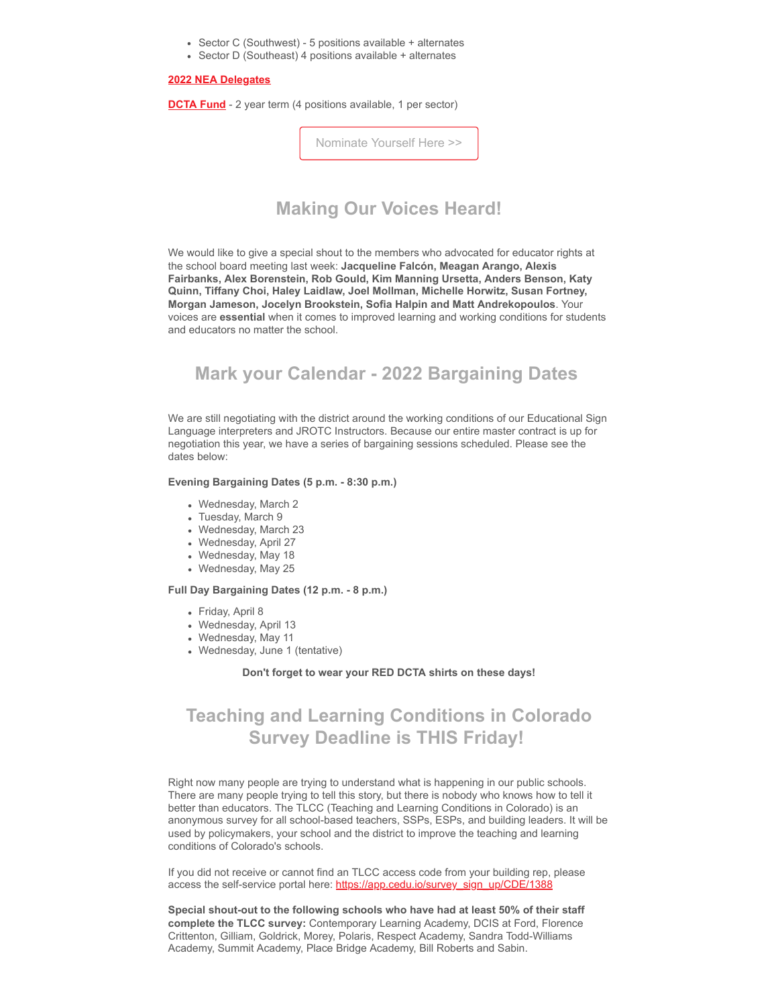- Sector C (Southwest) 5 positions available + alternates
- Sector D (Southeast) 4 positions available + alternates

#### **[2022 NEA Delegates](https://docs.google.com/document/d/1NnA5lHuYkyfrij4988XGF5ndyBYJhY5bQgmkV0adQjo/edit?emci=6ebe3bf9-3e94-ec11-a507-281878b83d8a&emdi=ea000000-0000-0000-0000-000000000001&ceid=#bookmark=id.5neotmxzvj2c)**

**[DCTA Fund](https://docs.google.com/document/d/1NnA5lHuYkyfrij4988XGF5ndyBYJhY5bQgmkV0adQjo/edit?emci=6ebe3bf9-3e94-ec11-a507-281878b83d8a&emdi=ea000000-0000-0000-0000-000000000001&ceid=#bookmark=id.8zljvrvvt4m)** - 2 year term (4 positions available, 1 per sector)

[Nominate Yourself Here >>](https://docs.google.com/forms/d/e/1FAIpQLSeWaDZDuP9scY1hYzdxK1fh2BWi9iDsoQwemYEmyAGZf-uSBg/viewform?usp=sf_link&emci=dbc82b54-b099-ec11-a507-281878b80eda&emdi=ea000000-0000-0000-0000-000000000001&ceid={{ContactsEmailID}})

## **Making Our Voices Heard!**

We would like to give a special shout to the members who advocated for educator rights at the school board meeting last week: **Jacqueline Falcón, Meagan Arango, Alexis Fairbanks, Alex Borenstein, Rob Gould, Kim Manning Ursetta, Anders Benson, Katy Quinn, Tiffany Choi, Haley Laidlaw, Joel Mollman, Michelle Horwitz, Susan Fortney, Morgan Jameson, Jocelyn Brookstein, Sofia Halpin and Matt Andrekopoulos**. Your voices are **essential** when it comes to improved learning and working conditions for students and educators no matter the school.

## **Mark your Calendar - 2022 Bargaining Dates**

We are still negotiating with the district around the working conditions of our Educational Sign Language interpreters and JROTC Instructors. Because our entire master contract is up for negotiation this year, we have a series of bargaining sessions scheduled. Please see the dates below:

### **Evening Bargaining Dates (5 p.m. - 8:30 p.m.)**

- Wednesday, March 2
- Tuesday, March 9
- Wednesday, March 23
- Wednesday, April 27
- Wednesday, May 18
- Wednesday, May 25

### **Full Day Bargaining Dates (12 p.m. - 8 p.m.)**

- Friday, April 8
- Wednesday, April 13
- Wednesday, May 11
- Wednesday, June 1 (tentative)

#### **Don't forget to wear your RED DCTA shirts on these days!**

## **Teaching and Learning Conditions in Colorado Survey Deadline is THIS Friday!**

Right now many people are trying to understand what is happening in our public schools. There are many people trying to tell this story, but there is nobody who knows how to tell it better than educators. The TLCC (Teaching and Learning Conditions in Colorado) is an anonymous survey for all school-based teachers, SSPs, ESPs, and building leaders. It will be used by policymakers, your school and the district to improve the teaching and learning conditions of Colorado's schools.

If you did not receive or cannot find an TLCC access code from your building rep, please access the self-service portal here: [https://app.cedu.io/survey\\_sign\\_up/CDE/1388](https://app.cedu.io/survey_sign_up/CDE/1388?emci=dbc82b54-b099-ec11-a507-281878b80eda&emdi=ea000000-0000-0000-0000-000000000001&ceid={{ContactsEmailID}})

**Special shout-out to the following schools who have had at least 50% of their staff complete the TLCC survey:** Contemporary Learning Academy, DCIS at Ford, Florence Crittenton, Gilliam, Goldrick, Morey, Polaris, Respect Academy, Sandra Todd-Williams Academy, Summit Academy, Place Bridge Academy, Bill Roberts and Sabin.